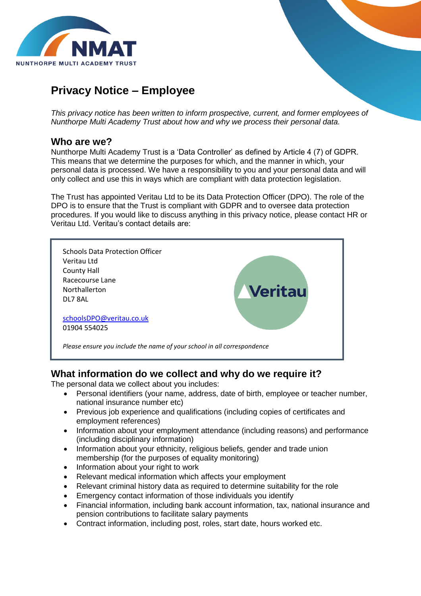

# **Privacy Notice – Employee**

*This privacy notice has been written to inform prospective, current, and former employees of Nunthorpe Multi Academy Trust about how and why we process their personal data.*

## **Who are we?**

Nunthorpe Multi Academy Trust is a 'Data Controller' as defined by Article 4 (7) of GDPR. This means that we determine the purposes for which, and the manner in which, your personal data is processed. We have a responsibility to you and your personal data and will only collect and use this in ways which are compliant with data protection legislation.

The Trust has appointed Veritau Ltd to be its Data Protection Officer (DPO). The role of the DPO is to ensure that the Trust is compliant with GDPR and to oversee data protection procedures. If you would like to discuss anything in this privacy notice, please contact HR or Veritau Ltd. Veritau's contact details are:



## **What information do we collect and why do we require it?**

The personal data we collect about you includes:

- Personal identifiers (your name, address, date of birth, employee or teacher number, national insurance number etc)
- Previous job experience and qualifications (including copies of certificates and employment references)
- Information about your employment attendance (including reasons) and performance (including disciplinary information)
- Information about your ethnicity, religious beliefs, gender and trade union membership (for the purposes of equality monitoring)
- Information about your right to work
- Relevant medical information which affects your employment
- Relevant criminal history data as required to determine suitability for the role
- Emergency contact information of those individuals you identify
- Financial information, including bank account information, tax, national insurance and pension contributions to facilitate salary payments
- Contract information, including post, roles, start date, hours worked etc.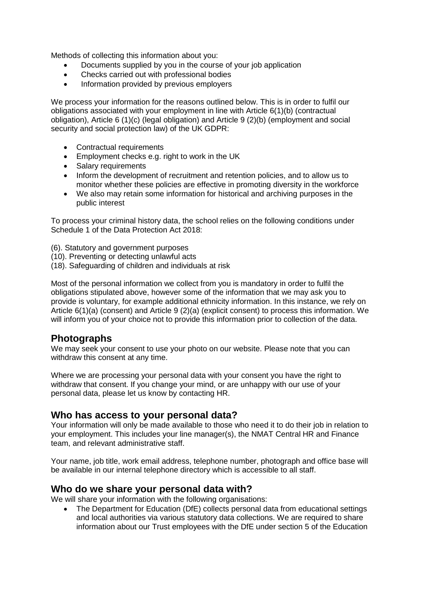Methods of collecting this information about you:

- Documents supplied by you in the course of your job application
- Checks carried out with professional bodies
- Information provided by previous employers

We process your information for the reasons outlined below. This is in order to fulfil our obligations associated with your employment in line with Article 6(1)(b) (contractual obligation), Article 6 (1)(c) (legal obligation) and Article 9 (2)(b) (employment and social security and social protection law) of the UK GDPR:

- Contractual requirements
- Employment checks e.g. right to work in the UK
- Salary requirements
- Inform the development of recruitment and retention policies, and to allow us to monitor whether these policies are effective in promoting diversity in the workforce
- We also may retain some information for historical and archiving purposes in the public interest

To process your criminal history data, the school relies on the following conditions under Schedule 1 of the Data Protection Act 2018:

- (6). Statutory and government purposes
- (10). Preventing or detecting unlawful acts
- (18). Safeguarding of children and individuals at risk

Most of the personal information we collect from you is mandatory in order to fulfil the obligations stipulated above, however some of the information that we may ask you to provide is voluntary, for example additional ethnicity information. In this instance, we rely on Article 6(1)(a) (consent) and Article 9 (2)(a) (explicit consent) to process this information. We will inform you of your choice not to provide this information prior to collection of the data.

## **Photographs**

We may seek your consent to use your photo on our website. Please note that you can withdraw this consent at any time.

Where we are processing your personal data with your consent you have the right to withdraw that consent. If you change your mind, or are unhappy with our use of your personal data, please let us know by contacting HR.

## **Who has access to your personal data?**

Your information will only be made available to those who need it to do their job in relation to your employment. This includes your line manager(s), the NMAT Central HR and Finance team, and relevant administrative staff.

Your name, job title, work email address, telephone number, photograph and office base will be available in our internal telephone directory which is accessible to all staff.

## **Who do we share your personal data with?**

We will share your information with the following organisations:

 The Department for Education (DfE) collects personal data from educational settings and local authorities via various statutory data collections. We are required to share information about our Trust employees with the DfE under section 5 of the Education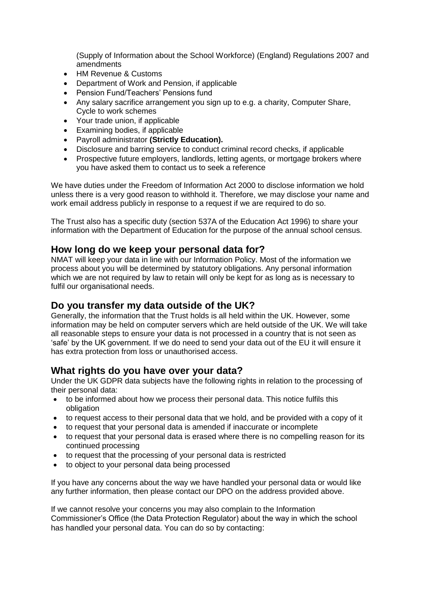(Supply of Information about the School Workforce) (England) Regulations 2007 and amendments

- HM Revenue & Customs
- Department of Work and Pension, if applicable
- Pension Fund/Teachers' Pensions fund
- Any salary sacrifice arrangement you sign up to e.g. a charity, Computer Share, Cycle to work schemes
- Your trade union, if applicable
- Examining bodies, if applicable
- Payroll administrator **(Strictly Education).**
- Disclosure and barring service to conduct criminal record checks, if applicable
- Prospective future employers, landlords, letting agents, or mortgage brokers where you have asked them to contact us to seek a reference

We have duties under the Freedom of Information Act 2000 to disclose information we hold unless there is a very good reason to withhold it. Therefore, we may disclose your name and work email address publicly in response to a request if we are required to do so.

The Trust also has a specific duty (section 537A of the Education Act 1996) to share your information with the Department of Education for the purpose of the annual school census.

### **How long do we keep your personal data for?**

NMAT will keep your data in line with our Information Policy. Most of the information we process about you will be determined by statutory obligations. Any personal information which we are not required by law to retain will only be kept for as long as is necessary to fulfil our organisational needs.

## **Do you transfer my data outside of the UK?**

Generally, the information that the Trust holds is all held within the UK. However, some information may be held on computer servers which are held outside of the UK. We will take all reasonable steps to ensure your data is not processed in a country that is not seen as 'safe' by the UK government. If we do need to send your data out of the EU it will ensure it has extra protection from loss or unauthorised access.

## **What rights do you have over your data?**

Under the UK GDPR data subjects have the following rights in relation to the processing of their personal data:

- to be informed about how we process their personal data. This notice fulfils this obligation
- to request access to their personal data that we hold, and be provided with a copy of it
- to request that your personal data is amended if inaccurate or incomplete
- to request that your personal data is erased where there is no compelling reason for its continued processing
- to request that the processing of your personal data is restricted
- to object to your personal data being processed

If you have any concerns about the way we have handled your personal data or would like any further information, then please contact our DPO on the address provided above.

If we cannot resolve your concerns you may also complain to the Information Commissioner's Office (the Data Protection Regulator) about the way in which the school has handled your personal data. You can do so by contacting: